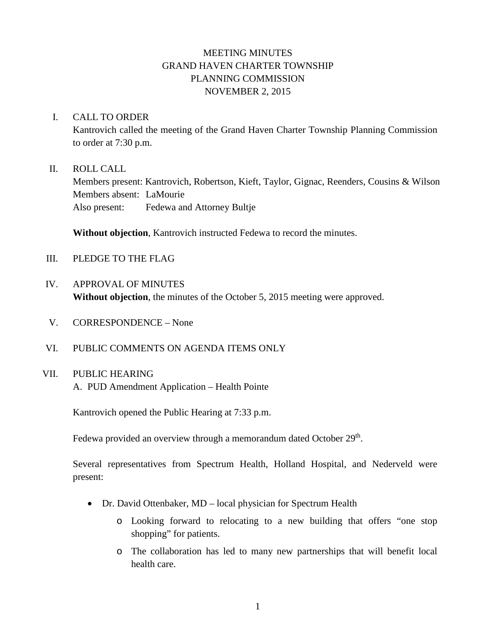# MEETING MINUTES GRAND HAVEN CHARTER TOWNSHIP PLANNING COMMISSION NOVEMBER 2, 2015

### I. CALL TO ORDER

Kantrovich called the meeting of the Grand Haven Charter Township Planning Commission to order at 7:30 p.m.

### II. ROLL CALL

Members present: Kantrovich, Robertson, Kieft, Taylor, Gignac, Reenders, Cousins & Wilson Members absent: LaMourie Also present: Fedewa and Attorney Bultje

**Without objection**, Kantrovich instructed Fedewa to record the minutes.

- III. PLEDGE TO THE FLAG
- IV. APPROVAL OF MINUTES **Without objection**, the minutes of the October 5, 2015 meeting were approved.
- V. CORRESPONDENCE None
- VI. PUBLIC COMMENTS ON AGENDA ITEMS ONLY

## VII. PUBLIC HEARING

A. PUD Amendment Application – Health Pointe

Kantrovich opened the Public Hearing at 7:33 p.m.

Fedewa provided an overview through a memorandum dated October 29<sup>th</sup>.

Several representatives from Spectrum Health, Holland Hospital, and Nederveld were present:

- Dr. David Ottenbaker, MD local physician for Spectrum Health
	- o Looking forward to relocating to a new building that offers "one stop shopping" for patients.
	- o The collaboration has led to many new partnerships that will benefit local health care.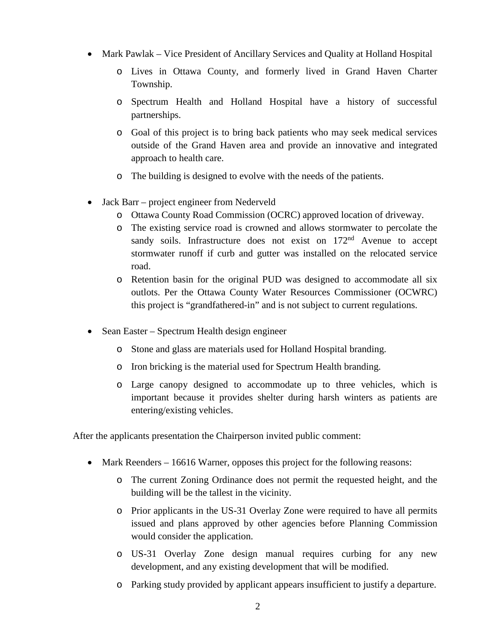- Mark Pawlak Vice President of Ancillary Services and Quality at Holland Hospital
	- o Lives in Ottawa County, and formerly lived in Grand Haven Charter Township.
	- o Spectrum Health and Holland Hospital have a history of successful partnerships.
	- o Goal of this project is to bring back patients who may seek medical services outside of the Grand Haven area and provide an innovative and integrated approach to health care.
	- o The building is designed to evolve with the needs of the patients.
- Jack Barr project engineer from Nederveld
	- o Ottawa County Road Commission (OCRC) approved location of driveway.
	- o The existing service road is crowned and allows stormwater to percolate the sandy soils. Infrastructure does not exist on 172<sup>nd</sup> Avenue to accept stormwater runoff if curb and gutter was installed on the relocated service road.
	- o Retention basin for the original PUD was designed to accommodate all six outlots. Per the Ottawa County Water Resources Commissioner (OCWRC) this project is "grandfathered-in" and is not subject to current regulations.
- Sean Easter Spectrum Health design engineer
	- o Stone and glass are materials used for Holland Hospital branding.
	- o Iron bricking is the material used for Spectrum Health branding.
	- o Large canopy designed to accommodate up to three vehicles, which is important because it provides shelter during harsh winters as patients are entering/existing vehicles.

After the applicants presentation the Chairperson invited public comment:

- Mark Reenders 16616 Warner, opposes this project for the following reasons:
	- o The current Zoning Ordinance does not permit the requested height, and the building will be the tallest in the vicinity.
	- o Prior applicants in the US-31 Overlay Zone were required to have all permits issued and plans approved by other agencies before Planning Commission would consider the application.
	- o US-31 Overlay Zone design manual requires curbing for any new development, and any existing development that will be modified.
	- o Parking study provided by applicant appears insufficient to justify a departure.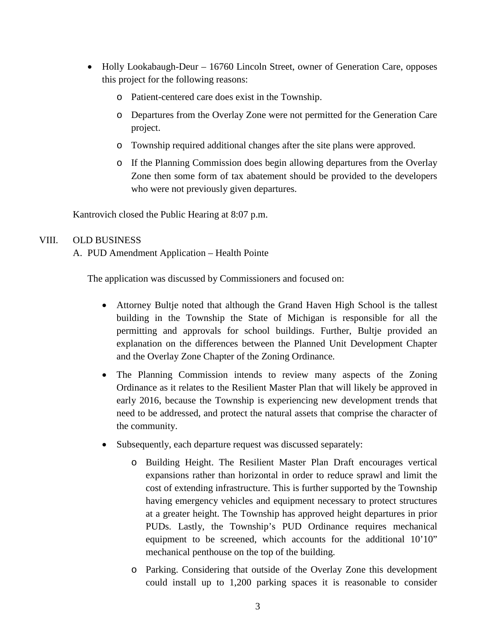- Holly Lookabaugh-Deur 16760 Lincoln Street, owner of Generation Care, opposes this project for the following reasons:
	- o Patient-centered care does exist in the Township.
	- o Departures from the Overlay Zone were not permitted for the Generation Care project.
	- o Township required additional changes after the site plans were approved.
	- o If the Planning Commission does begin allowing departures from the Overlay Zone then some form of tax abatement should be provided to the developers who were not previously given departures.

Kantrovich closed the Public Hearing at 8:07 p.m.

## VIII. OLD BUSINESS

A. PUD Amendment Application – Health Pointe

The application was discussed by Commissioners and focused on:

- Attorney Bultje noted that although the Grand Haven High School is the tallest building in the Township the State of Michigan is responsible for all the permitting and approvals for school buildings. Further, Bultje provided an explanation on the differences between the Planned Unit Development Chapter and the Overlay Zone Chapter of the Zoning Ordinance.
- The Planning Commission intends to review many aspects of the Zoning Ordinance as it relates to the Resilient Master Plan that will likely be approved in early 2016, because the Township is experiencing new development trends that need to be addressed, and protect the natural assets that comprise the character of the community.
- Subsequently, each departure request was discussed separately:
	- o Building Height. The Resilient Master Plan Draft encourages vertical expansions rather than horizontal in order to reduce sprawl and limit the cost of extending infrastructure. This is further supported by the Township having emergency vehicles and equipment necessary to protect structures at a greater height. The Township has approved height departures in prior PUDs. Lastly, the Township's PUD Ordinance requires mechanical equipment to be screened, which accounts for the additional 10'10" mechanical penthouse on the top of the building.
	- o Parking. Considering that outside of the Overlay Zone this development could install up to 1,200 parking spaces it is reasonable to consider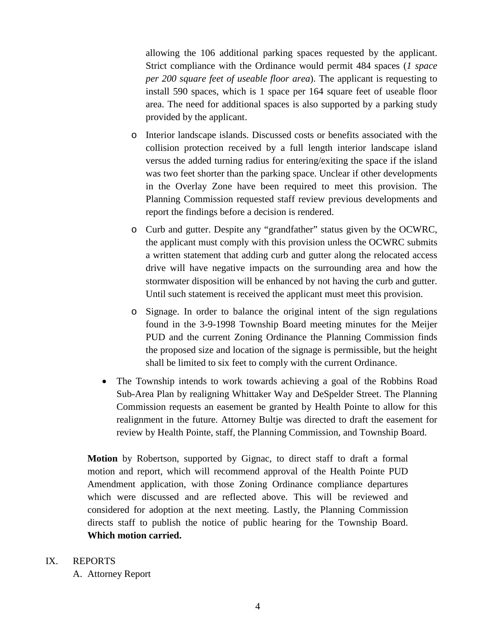allowing the 106 additional parking spaces requested by the applicant. Strict compliance with the Ordinance would permit 484 spaces (*1 space per 200 square feet of useable floor area*). The applicant is requesting to install 590 spaces, which is 1 space per 164 square feet of useable floor area. The need for additional spaces is also supported by a parking study provided by the applicant.

- o Interior landscape islands. Discussed costs or benefits associated with the collision protection received by a full length interior landscape island versus the added turning radius for entering/exiting the space if the island was two feet shorter than the parking space. Unclear if other developments in the Overlay Zone have been required to meet this provision. The Planning Commission requested staff review previous developments and report the findings before a decision is rendered.
- o Curb and gutter. Despite any "grandfather" status given by the OCWRC, the applicant must comply with this provision unless the OCWRC submits a written statement that adding curb and gutter along the relocated access drive will have negative impacts on the surrounding area and how the stormwater disposition will be enhanced by not having the curb and gutter. Until such statement is received the applicant must meet this provision.
- o Signage. In order to balance the original intent of the sign regulations found in the 3-9-1998 Township Board meeting minutes for the Meijer PUD and the current Zoning Ordinance the Planning Commission finds the proposed size and location of the signage is permissible, but the height shall be limited to six feet to comply with the current Ordinance.
- The Township intends to work towards achieving a goal of the Robbins Road Sub-Area Plan by realigning Whittaker Way and DeSpelder Street. The Planning Commission requests an easement be granted by Health Pointe to allow for this realignment in the future. Attorney Bultje was directed to draft the easement for review by Health Pointe, staff, the Planning Commission, and Township Board.

**Motion** by Robertson, supported by Gignac, to direct staff to draft a formal motion and report, which will recommend approval of the Health Pointe PUD Amendment application, with those Zoning Ordinance compliance departures which were discussed and are reflected above. This will be reviewed and considered for adoption at the next meeting. Lastly, the Planning Commission directs staff to publish the notice of public hearing for the Township Board. **Which motion carried.**

### IX. REPORTS

A. Attorney Report